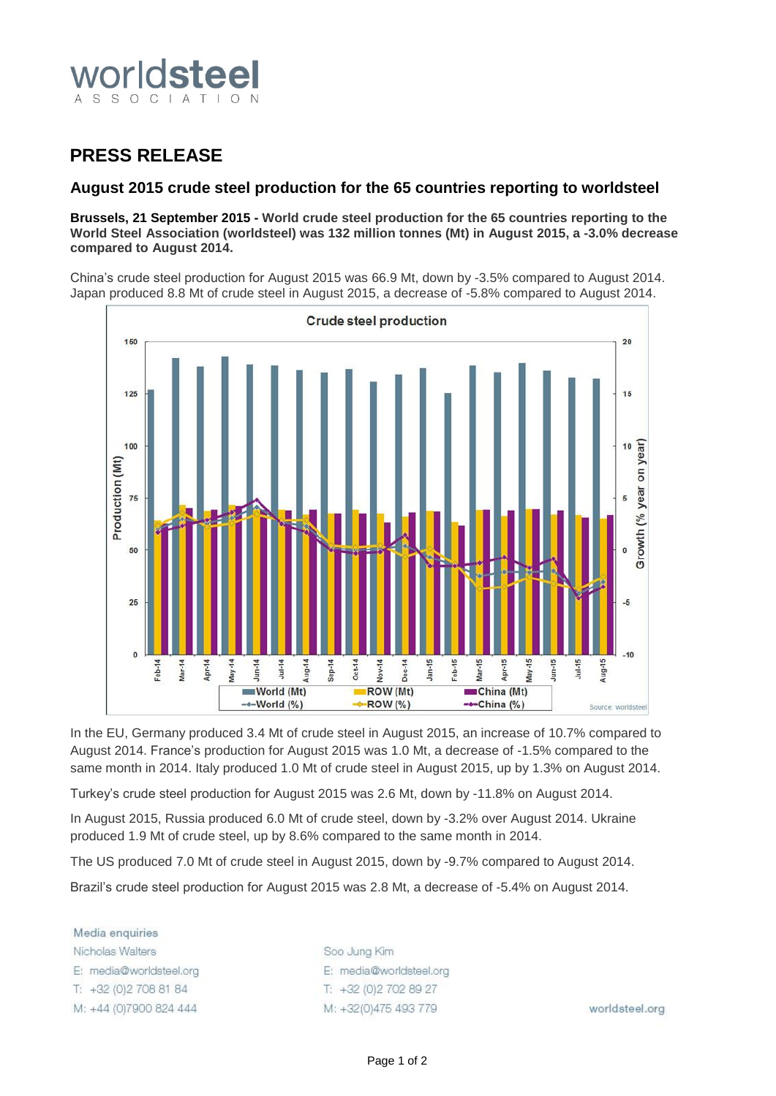

# **PRESS RELEASE**

## **August 2015 crude steel production for the 65 countries reporting to worldsteel**

### **Brussels, 21 September 2015 - World crude steel production for the 65 countries reporting to the World Steel Association (worldsteel) was 132 million tonnes (Mt) in August 2015, a -3.0% decrease compared to August 2014.**

China's crude steel production for August 2015 was 66.9 Mt, down by -3.5% compared to August 2014. Japan produced 8.8 Mt of crude steel in August 2015, a decrease of -5.8% compared to August 2014.



In the EU, Germany produced 3.4 Mt of crude steel in August 2015, an increase of 10.7% compared to August 2014. France's production for August 2015 was 1.0 Mt, a decrease of -1.5% compared to the same month in 2014. Italy produced 1.0 Mt of crude steel in August 2015, up by 1.3% on August 2014.

Turkey's crude steel production for August 2015 was 2.6 Mt, down by -11.8% on August 2014.

In August 2015, Russia produced 6.0 Mt of crude steel, down by -3.2% over August 2014. Ukraine produced 1.9 Mt of crude steel, up by 8.6% compared to the same month in 2014.

The US produced 7.0 Mt of crude steel in August 2015, down by -9.7% compared to August 2014.

Brazil's crude steel production for August 2015 was 2.8 Mt, a decrease of -5.4% on August 2014.

Media enquiries Nicholas Walters E: media@worldsteel.org T: +32 (0) 2 708 81 84 M: +44 (0)7900 824 444

Soo Jung Kim E: media@worldsteel.org T: +32 (0) 2 70 2 89 27 M: +32(0)475 493 779

worldsteel.org